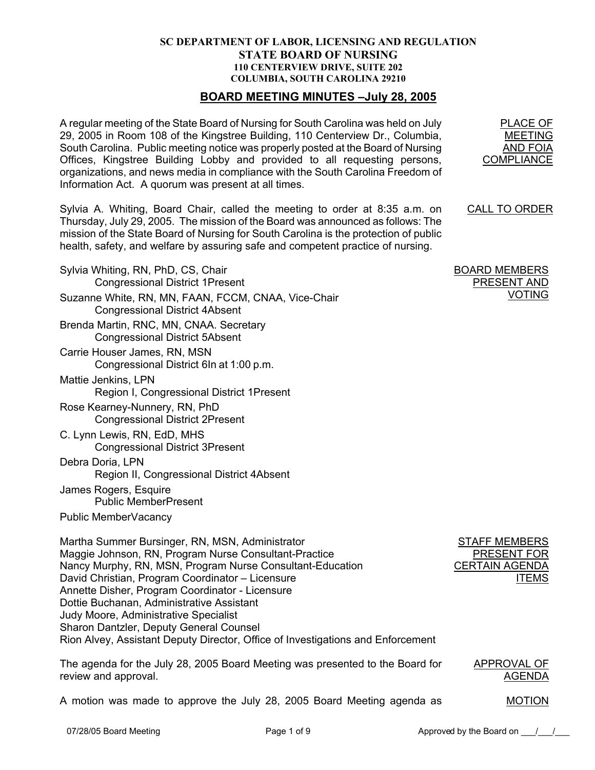## **SC DEPARTMENT OF LABOR, LICENSING AND REGULATION STATE BOARD OF NURSING 110 CENTERVIEW DRIVE, SUITE 202 COLUMBIA, SOUTH CAROLINA 29210**

## **BOARD MEETING MINUTES –July 28, 2005**

A regular meeting of the State Board of Nursing for South Carolina was held on July 29, 2005 in Room 108 of the Kingstree Building, 110 Centerview Dr., Columbia, South Carolina. Public meeting notice was properly posted at the Board of Nursing Offices, Kingstree Building Lobby and provided to all requesting persons, organizations, and news media in compliance with the South Carolina Freedom of Information Act. A quorum was present at all times.

Sylvia A. Whiting, Board Chair, called the meeting to order at 8:35 a.m. on Thursday, July 29, 2005. The mission of the Board was announced as follows: The mission of the State Board of Nursing for South Carolina is the protection of public health, safety, and welfare by assuring safe and competent practice of nursing.

Sylvia Whiting, RN, PhD, CS, Chair Congressional District 1Present Suzanne White, RN, MN, FAAN, FCCM, CNAA, Vice-Chair Congressional District 4Absent Brenda Martin, RNC, MN, CNAA. Secretary Congressional District 5Absent Carrie Houser James, RN, MSN Congressional District 6In at 1:00 p.m. Mattie Jenkins, LPN Region I, Congressional District 1Present Rose Kearney-Nunnery, RN, PhD Congressional District 2Present C. Lynn Lewis, RN, EdD, MHS Congressional District 3Present Debra Doria, LPN Region II, Congressional District 4Absent James Rogers, Esquire Public MemberPresent Public MemberVacancy Martha Summer Bursinger, RN, MSN, Administrator STAFF MEMBERS PRESENT FOR

Maggie Johnson, RN, Program Nurse Consultant-Practice Nancy Murphy, RN, MSN, Program Nurse Consultant-Education David Christian, Program Coordinator – Licensure Annette Disher, Program Coordinator - Licensure Dottie Buchanan, Administrative Assistant Judy Moore, Administrative Specialist Sharon Dantzler, Deputy General Counsel Rion Alvey, Assistant Deputy Director, Office of Investigations and Enforcement

The agenda for the July 28, 2005 Board Meeting was presented to the Board for review and approval. APPROVAL OF AGENDA

A motion was made to approve the July 28, 2005 Board Meeting agenda as

PLACE OF MEETING AND FOIA **COMPLIANCE** 

CALL TO ORDER

BOARD MEMBERS PRESENT AND VOTING

CERTAIN AGENDA

**ITEMS** 

MOTION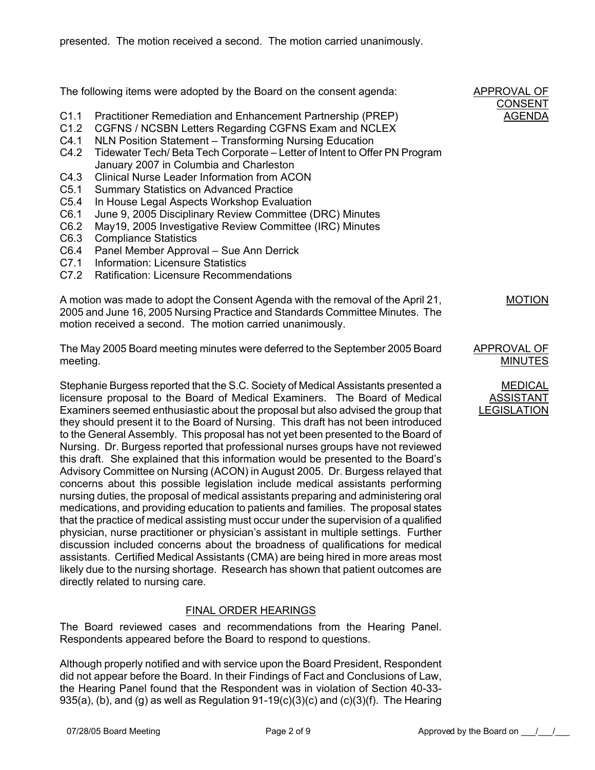The following items were adopted by the Board on the consent agenda: C1.1 Practitioner Remediation and Enhancement Partnership (PREP) C1.2 CGFNS / NCSBN Letters Regarding CGFNS Exam and NCLEX C4.1 NLN Position Statement – Transforming Nursing Education C4.2 Tidewater Tech/ Beta Tech Corporate – Letter of Intent to Offer PN Program January 2007 in Columbia and Charleston C4.3 Clinical Nurse Leader Information from ACON C5.1 Summary Statistics on Advanced Practice C5.4 In House Legal Aspects Workshop Evaluation C6.1 June 9, 2005 Disciplinary Review Committee (DRC) Minutes C6.2 May19, 2005 Investigative Review Committee (IRC) Minutes C6.3 Compliance Statistics C6.4 Panel Member Approval – Sue Ann Derrick C7.1 Information: Licensure Statistics C7.2 Ratification: Licensure Recommendations A motion was made to adopt the Consent Agenda with the removal of the April 21, 2005 and June 16, 2005 Nursing Practice and Standards Committee Minutes. The motion received a second. The motion carried unanimously. APPROVAL OF CONSENT AGENDA MOTION The May 2005 Board meeting minutes were deferred to the September 2005 Board meeting. APPROVAL OF MINUTES Stephanie Burgess reported that the S.C. Society of Medical Assistants presented a licensure proposal to the Board of Medical Examiners. The Board of Medical Examiners seemed enthusiastic about the proposal but also advised the group that they should present it to the Board of Nursing. This draft has not been introduced to the General Assembly. This proposal has not yet been presented to the Board of Nursing. Dr. Burgess reported that professional nurses groups have not reviewed this draft. She explained that this information would be presented to the Board's Advisory Committee on Nursing (ACON) in August 2005. Dr. Burgess relayed that concerns about this possible legislation include medical assistants performing nursing duties, the proposal of medical assistants preparing and administering oral medications, and providing education to patients and families. The proposal states that the practice of medical assisting must occur under the supervision of a qualified physician, nurse practitioner or physician's assistant in multiple settings. Further discussion included concerns about the broadness of qualifications for medical assistants. Certified Medical Assistants (CMA) are being hired in more areas most likely due to the nursing shortage. Research has shown that patient outcomes are MEDICAL ASSISTANT LEGISLATION

# FINAL ORDER HEARINGS

The Board reviewed cases and recommendations from the Hearing Panel. Respondents appeared before the Board to respond to questions.

Although properly notified and with service upon the Board President, Respondent did not appear before the Board. In their Findings of Fact and Conclusions of Law, the Hearing Panel found that the Respondent was in violation of Section 40-33- 935(a), (b), and (g) as well as Regulation 91-19(c)(3)(c) and (c)(3)(f). The Hearing

directly related to nursing care.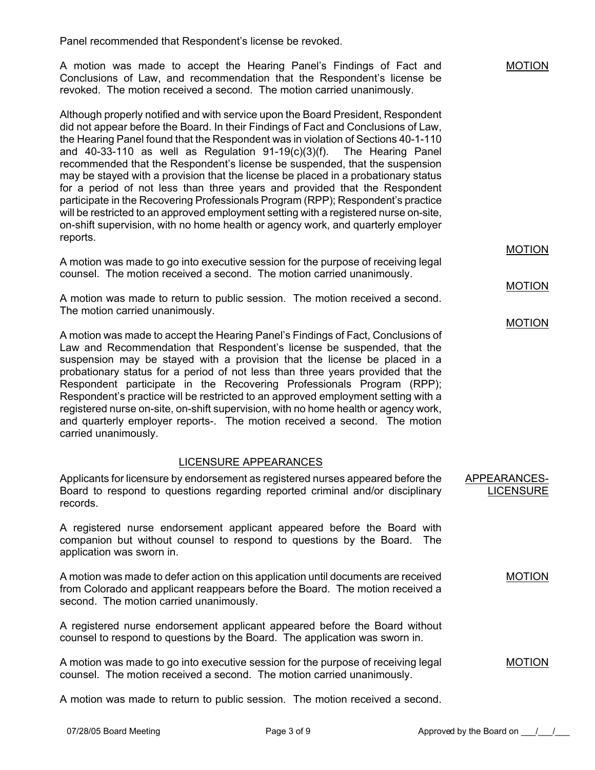Panel recommended that Respondent's license be revoked.

A motion was made to accept the Hearing Panel's Findings of Fact and Conclusions of Law, and recommendation that the Respondent's license be revoked. The motion received a second. The motion carried unanimously.

Although properly notified and with service upon the Board President, Respondent did not appear before the Board. In their Findings of Fact and Conclusions of Law, the Hearing Panel found that the Respondent was in violation of Sections 40-1-110 and 40-33-110 as well as Regulation 91-19(c)(3)(f). The Hearing Panel recommended that the Respondent's license be suspended, that the suspension may be stayed with a provision that the license be placed in a probationary status for a period of not less than three years and provided that the Respondent participate in the Recovering Professionals Program (RPP); Respondent's practice will be restricted to an approved employment setting with a registered nurse on-site, on-shift supervision, with no home health or agency work, and quarterly employer reports.

A motion was made to go into executive session for the purpose of receiving legal counsel. The motion received a second. The motion carried unanimously.

A motion was made to return to public session. The motion received a second. The motion carried unanimously.

A motion was made to accept the Hearing Panel's Findings of Fact, Conclusions of Law and Recommendation that Respondent's license be suspended, that the suspension may be stayed with a provision that the license be placed in a probationary status for a period of not less than three years provided that the Respondent participate in the Recovering Professionals Program (RPP); Respondent's practice will be restricted to an approved employment setting with a registered nurse on-site, on-shift supervision, with no home health or agency work, and quarterly employer reports-. The motion received a second. The motion carried unanimously.

## LICENSURE APPEARANCES

Applicants for licensure by endorsement as registered nurses appeared before the Board to respond to questions regarding reported criminal and/or disciplinary records. APPEARANCES-

A registered nurse endorsement applicant appeared before the Board with companion but without counsel to respond to questions by the Board. The application was sworn in.

A motion was made to defer action on this application until documents are received from Colorado and applicant reappears before the Board. The motion received a second. The motion carried unanimously.

A registered nurse endorsement applicant appeared before the Board without counsel to respond to questions by the Board. The application was sworn in.

A motion was made to go into executive session for the purpose of receiving legal counsel. The motion received a second. The motion carried unanimously.

A motion was made to return to public session. The motion received a second.

MOTION

MOTION

MOTION

MOTION

**LICENSURE** 

MOTION

MOTION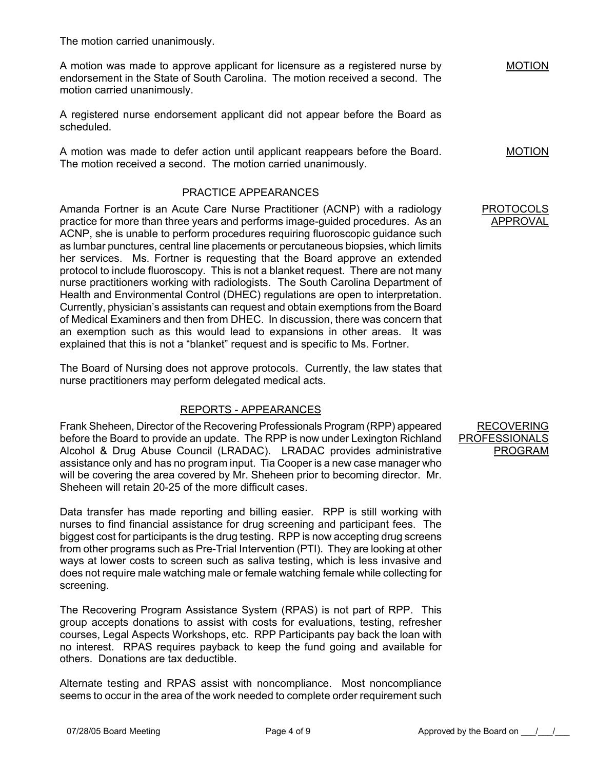The motion carried unanimously.

A motion was made to approve applicant for licensure as a registered nurse by endorsement in the State of South Carolina. The motion received a second. The motion carried unanimously.

A registered nurse endorsement applicant did not appear before the Board as scheduled.

A motion was made to defer action until applicant reappears before the Board. The motion received a second. The motion carried unanimously.

# PRACTICE APPEARANCES

Amanda Fortner is an Acute Care Nurse Practitioner (ACNP) with a radiology practice for more than three years and performs image-guided procedures. As an ACNP, she is unable to perform procedures requiring fluoroscopic guidance such as lumbar punctures, central line placements or percutaneous biopsies, which limits her services. Ms. Fortner is requesting that the Board approve an extended protocol to include fluoroscopy. This is not a blanket request. There are not many nurse practitioners working with radiologists. The South Carolina Department of Health and Environmental Control (DHEC) regulations are open to interpretation. Currently, physician's assistants can request and obtain exemptions from the Board of Medical Examiners and then from DHEC. In discussion, there was concern that an exemption such as this would lead to expansions in other areas. It was explained that this is not a "blanket" request and is specific to Ms. Fortner.

The Board of Nursing does not approve protocols. Currently, the law states that nurse practitioners may perform delegated medical acts.

# REPORTS - APPEARANCES

Frank Sheheen, Director of the Recovering Professionals Program (RPP) appeared before the Board to provide an update. The RPP is now under Lexington Richland Alcohol & Drug Abuse Council (LRADAC). LRADAC provides administrative assistance only and has no program input. Tia Cooper is a new case manager who will be covering the area covered by Mr. Sheheen prior to becoming director. Mr. Sheheen will retain 20-25 of the more difficult cases.

Data transfer has made reporting and billing easier. RPP is still working with nurses to find financial assistance for drug screening and participant fees. The biggest cost for participants is the drug testing. RPP is now accepting drug screens from other programs such as Pre-Trial Intervention (PTI). They are looking at other ways at lower costs to screen such as saliva testing, which is less invasive and does not require male watching male or female watching female while collecting for screening.

The Recovering Program Assistance System (RPAS) is not part of RPP. This group accepts donations to assist with costs for evaluations, testing, refresher courses, Legal Aspects Workshops, etc. RPP Participants pay back the loan with no interest. RPAS requires payback to keep the fund going and available for others. Donations are tax deductible.

Alternate testing and RPAS assist with noncompliance. Most noncompliance seems to occur in the area of the work needed to complete order requirement such

RECOVERING PROFESSIONALS PROGRAM

MOTION

MOTION

## PROTOCOLS APPROVAL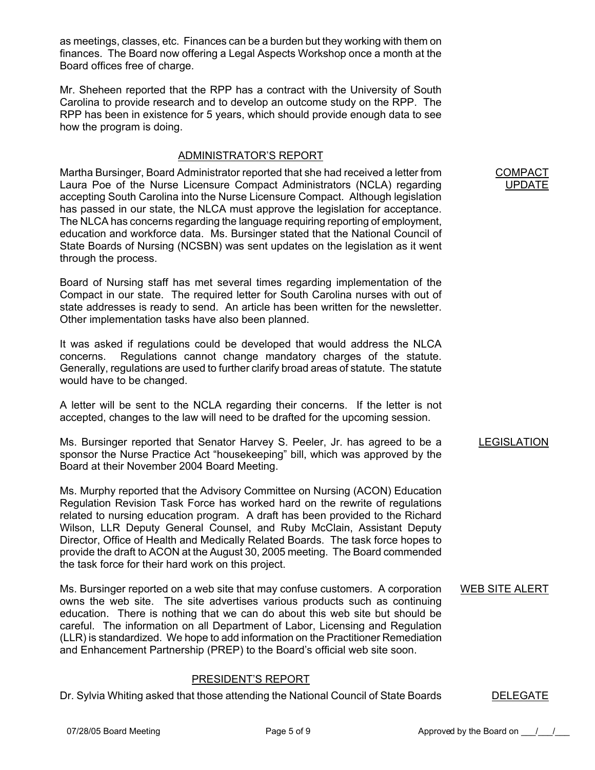as meetings, classes, etc. Finances can be a burden but they working with them on finances. The Board now offering a Legal Aspects Workshop once a month at the Board offices free of charge.

Mr. Sheheen reported that the RPP has a contract with the University of South Carolina to provide research and to develop an outcome study on the RPP. The RPP has been in existence for 5 years, which should provide enough data to see how the program is doing.

## ADMINISTRATOR'S REPORT

Martha Bursinger, Board Administrator reported that she had received a letter from Laura Poe of the Nurse Licensure Compact Administrators (NCLA) regarding accepting South Carolina into the Nurse Licensure Compact. Although legislation has passed in our state, the NLCA must approve the legislation for acceptance. The NLCA has concerns regarding the language requiring reporting of employment, education and workforce data. Ms. Bursinger stated that the National Council of State Boards of Nursing (NCSBN) was sent updates on the legislation as it went through the process.

Board of Nursing staff has met several times regarding implementation of the Compact in our state. The required letter for South Carolina nurses with out of state addresses is ready to send. An article has been written for the newsletter. Other implementation tasks have also been planned.

It was asked if regulations could be developed that would address the NLCA concerns. Regulations cannot change mandatory charges of the statute. Generally, regulations are used to further clarify broad areas of statute. The statute would have to be changed.

A letter will be sent to the NCLA regarding their concerns. If the letter is not accepted, changes to the law will need to be drafted for the upcoming session.

Ms. Bursinger reported that Senator Harvey S. Peeler, Jr. has agreed to be a sponsor the Nurse Practice Act "housekeeping" bill, which was approved by the Board at their November 2004 Board Meeting.

Ms. Murphy reported that the Advisory Committee on Nursing (ACON) Education Regulation Revision Task Force has worked hard on the rewrite of regulations related to nursing education program. A draft has been provided to the Richard Wilson, LLR Deputy General Counsel, and Ruby McClain, Assistant Deputy Director, Office of Health and Medically Related Boards. The task force hopes to provide the draft to ACON at the August 30, 2005 meeting. The Board commended the task force for their hard work on this project.

Ms. Bursinger reported on a web site that may confuse customers. A corporation owns the web site. The site advertises various products such as continuing education. There is nothing that we can do about this web site but should be careful. The information on all Department of Labor, Licensing and Regulation (LLR) is standardized. We hope to add information on the Practitioner Remediation and Enhancement Partnership (PREP) to the Board's official web site soon.

# PRESIDENT'S REPORT

Dr. Sylvia Whiting asked that those attending the National Council of State Boards DELEGATE

∶OMPA UPDATE

#### LEGISLATION

## WEB SITE ALERT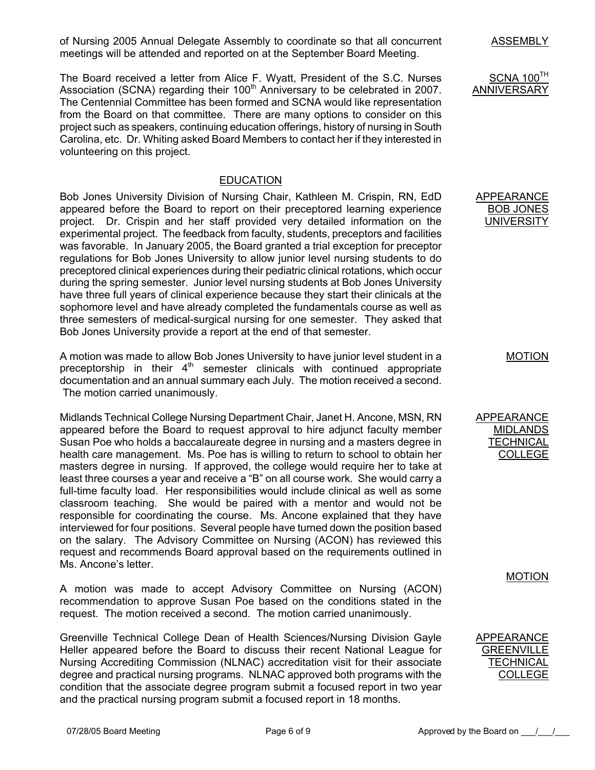of Nursing 2005 Annual Delegate Assembly to coordinate so that all concurrent meetings will be attended and reported on at the September Board Meeting.

The Board received a letter from Alice F. Wyatt, President of the S.C. Nurses Association (SCNA) regarding their  $100<sup>th</sup>$  Anniversary to be celebrated in 2007. The Centennial Committee has been formed and SCNA would like representation from the Board on that committee. There are many options to consider on this project such as speakers, continuing education offerings, history of nursing in South Carolina, etc. Dr. Whiting asked Board Members to contact her if they interested in volunteering on this project.

## EDUCATION

Bob Jones University Division of Nursing Chair, Kathleen M. Crispin, RN, EdD appeared before the Board to report on their preceptored learning experience project. Dr. Crispin and her staff provided very detailed information on the experimental project. The feedback from faculty, students, preceptors and facilities was favorable. In January 2005, the Board granted a trial exception for preceptor regulations for Bob Jones University to allow junior level nursing students to do preceptored clinical experiences during their pediatric clinical rotations, which occur during the spring semester. Junior level nursing students at Bob Jones University have three full years of clinical experience because they start their clinicals at the sophomore level and have already completed the fundamentals course as well as three semesters of medical-surgical nursing for one semester. They asked that Bob Jones University provide a report at the end of that semester.

A motion was made to allow Bob Jones University to have junior level student in a preceptorship in their  $4<sup>th</sup>$  semester clinicals with continued appropriate documentation and an annual summary each July. The motion received a second. The motion carried unanimously.

Midlands Technical College Nursing Department Chair, Janet H. Ancone, MSN, RN appeared before the Board to request approval to hire adjunct faculty member Susan Poe who holds a baccalaureate degree in nursing and a masters degree in health care management. Ms. Poe has is willing to return to school to obtain her masters degree in nursing. If approved, the college would require her to take at least three courses a year and receive a "B" on all course work. She would carry a full-time faculty load. Her responsibilities would include clinical as well as some classroom teaching. She would be paired with a mentor and would not be responsible for coordinating the course. Ms. Ancone explained that they have interviewed for four positions. Several people have turned down the position based on the salary. The Advisory Committee on Nursing (ACON) has reviewed this request and recommends Board approval based on the requirements outlined in Ms. Ancone's letter.

A motion was made to accept Advisory Committee on Nursing (ACON) recommendation to approve Susan Poe based on the conditions stated in the request. The motion received a second. The motion carried unanimously.

Greenville Technical College Dean of Health Sciences/Nursing Division Gayle Heller appeared before the Board to discuss their recent National League for Nursing Accrediting Commission (NLNAC) accreditation visit for their associate degree and practical nursing programs. NLNAC approved both programs with the condition that the associate degree program submit a focused report in two year and the practical nursing program submit a focused report in 18 months.

ASSEMBLY

 $SCNA$  100 $<sup>TH</sup>$ </sup> ANNIVERSARY

APPEARANCE BOB JONES UNIVERSITY

MOTION

APPEARANCE MIDLANDS **TECHNICAL** COLLEGE

MOTION

APPEARANCE **GREENVILLE TECHNICAL** COLLEGE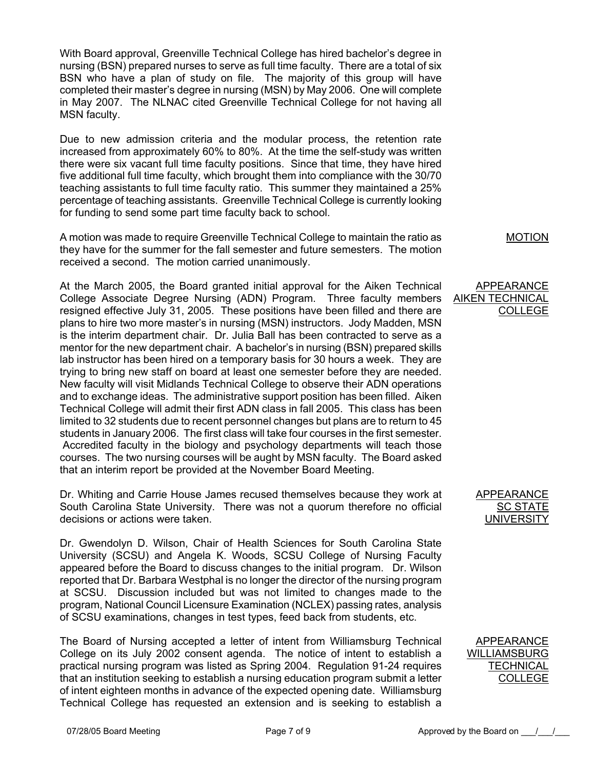With Board approval, Greenville Technical College has hired bachelor's degree in nursing (BSN) prepared nurses to serve as full time faculty. There are a total of six BSN who have a plan of study on file. The majority of this group will have completed their master's degree in nursing (MSN) by May 2006. One will complete in May 2007. The NLNAC cited Greenville Technical College for not having all MSN faculty.

Due to new admission criteria and the modular process, the retention rate increased from approximately 60% to 80%. At the time the self-study was written there were six vacant full time faculty positions. Since that time, they have hired five additional full time faculty, which brought them into compliance with the 30/70 teaching assistants to full time faculty ratio. This summer they maintained a 25% percentage of teaching assistants. Greenville Technical College is currently looking for funding to send some part time faculty back to school.

A motion was made to require Greenville Technical College to maintain the ratio as they have for the summer for the fall semester and future semesters. The motion received a second. The motion carried unanimously.

At the March 2005, the Board granted initial approval for the Aiken Technical College Associate Degree Nursing (ADN) Program. Three faculty members resigned effective July 31, 2005. These positions have been filled and there are plans to hire two more master's in nursing (MSN) instructors. Jody Madden, MSN is the interim department chair. Dr. Julia Ball has been contracted to serve as a mentor for the new department chair. A bachelor's in nursing (BSN) prepared skills lab instructor has been hired on a temporary basis for 30 hours a week. They are trying to bring new staff on board at least one semester before they are needed. New faculty will visit Midlands Technical College to observe their ADN operations and to exchange ideas. The administrative support position has been filled. Aiken Technical College will admit their first ADN class in fall 2005. This class has been limited to 32 students due to recent personnel changes but plans are to return to 45 students in January 2006. The first class will take four courses in the first semester. Accredited faculty in the biology and psychology departments will teach those courses. The two nursing courses will be aught by MSN faculty. The Board asked that an interim report be provided at the November Board Meeting.

Dr. Whiting and Carrie House James recused themselves because they work at South Carolina State University. There was not a quorum therefore no official decisions or actions were taken.

Dr. Gwendolyn D. Wilson, Chair of Health Sciences for South Carolina State University (SCSU) and Angela K. Woods, SCSU College of Nursing Faculty appeared before the Board to discuss changes to the initial program. Dr. Wilson reported that Dr. Barbara Westphal is no longer the director of the nursing program at SCSU. Discussion included but was not limited to changes made to the program, National Council Licensure Examination (NCLEX) passing rates, analysis of SCSU examinations, changes in test types, feed back from students, etc.

The Board of Nursing accepted a letter of intent from Williamsburg Technical College on its July 2002 consent agenda. The notice of intent to establish a practical nursing program was listed as Spring 2004. Regulation 91-24 requires that an institution seeking to establish a nursing education program submit a letter of intent eighteen months in advance of the expected opening date. Williamsburg Technical College has requested an extension and is seeking to establish a

MOTION

#### APPEARANCE AIKEN TECHNICAL COLLEGE

## APPEARANCE SC STATE UNIVERSITY

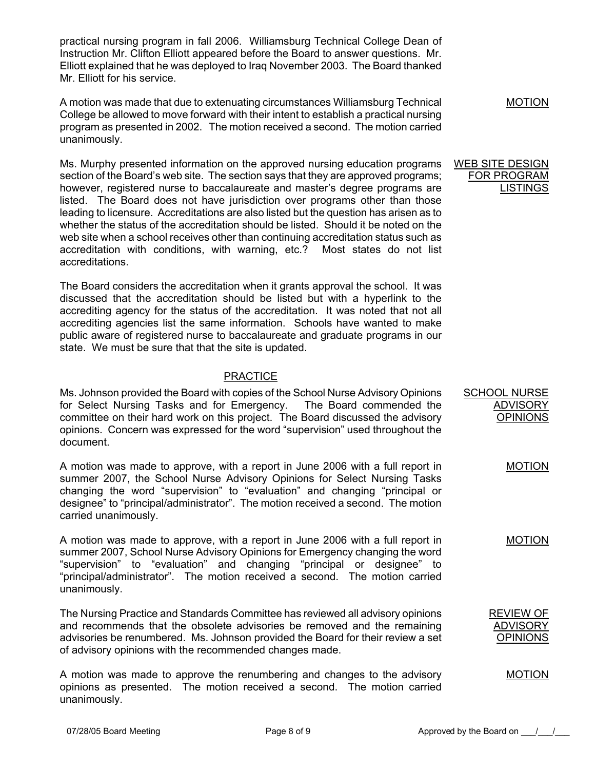practical nursing program in fall 2006. Williamsburg Technical College Dean of Instruction Mr. Clifton Elliott appeared before the Board to answer questions. Mr. Elliott explained that he was deployed to Iraq November 2003. The Board thanked Mr. Elliott for his service.

A motion was made that due to extenuating circumstances Williamsburg Technical College be allowed to move forward with their intent to establish a practical nursing program as presented in 2002. The motion received a second. The motion carried unanimously.

Ms. Murphy presented information on the approved nursing education programs section of the Board's web site. The section says that they are approved programs; however, registered nurse to baccalaureate and master's degree programs are listed. The Board does not have jurisdiction over programs other than those leading to licensure. Accreditations are also listed but the question has arisen as to whether the status of the accreditation should be listed. Should it be noted on the web site when a school receives other than continuing accreditation status such as accreditation with conditions, with warning, etc.? Most states do not list accreditations.

The Board considers the accreditation when it grants approval the school. It was discussed that the accreditation should be listed but with a hyperlink to the accrediting agency for the status of the accreditation. It was noted that not all accrediting agencies list the same information. Schools have wanted to make public aware of registered nurse to baccalaureate and graduate programs in our state. We must be sure that that the site is updated.

# **PRACTICE**

Ms. Johnson provided the Board with copies of the School Nurse Advisory Opinions for Select Nursing Tasks and for Emergency. The Board commended the committee on their hard work on this project. The Board discussed the advisory opinions. Concern was expressed for the word "supervision" used throughout the document.

A motion was made to approve, with a report in June 2006 with a full report in summer 2007, the School Nurse Advisory Opinions for Select Nursing Tasks changing the word "supervision" to "evaluation" and changing "principal or designee" to "principal/administrator". The motion received a second. The motion carried unanimously.

A motion was made to approve, with a report in June 2006 with a full report in summer 2007, School Nurse Advisory Opinions for Emergency changing the word "supervision" to "evaluation" and changing "principal or designee" to "principal/administrator". The motion received a second. The motion carried unanimously.

The Nursing Practice and Standards Committee has reviewed all advisory opinions and recommends that the obsolete advisories be removed and the remaining advisories be renumbered. Ms. Johnson provided the Board for their review a set of advisory opinions with the recommended changes made.

A motion was made to approve the renumbering and changes to the advisory opinions as presented. The motion received a second. The motion carried unanimously.

MOTION

#### WEB SITE DESIGN FOR PROGRAM LISTINGS

SCHOOL NURSE ADVISORY OPINIONS

MOTION

#### MOTION

REVIEW OF ADVISORY OPINIONS

MOTION